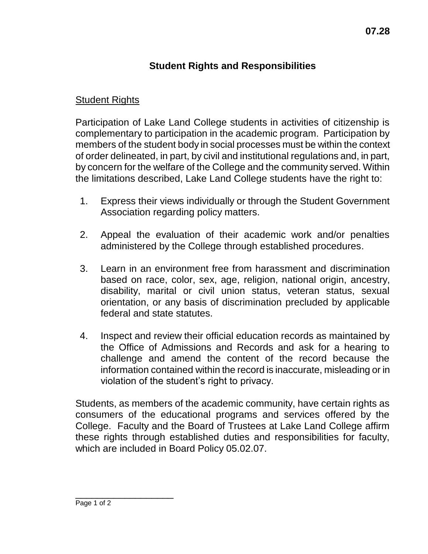## **Student Rights and Responsibilities**

## Student Rights

Participation of Lake Land College students in activities of citizenship is complementary to participation in the academic program. Participation by members of the student body in social processes must be within the context of order delineated, in part, by civil and institutional regulations and, in part, by concern for the welfare of the College and the community served. Within the limitations described, Lake Land College students have the right to:

- 1. Express their views individually or through the Student Government Association regarding policy matters.
- 2. Appeal the evaluation of their academic work and/or penalties administered by the College through established procedures.
- 3. Learn in an environment free from harassment and discrimination based on race, color, sex, age, religion, national origin, ancestry, disability, marital or civil union status, veteran status, sexual orientation, or any basis of discrimination precluded by applicable federal and state statutes.
- 4. Inspect and review their official education records as maintained by the Office of Admissions and Records and ask for a hearing to challenge and amend the content of the record because the information contained within the record is inaccurate, misleading or in violation of the student's right to privacy.

Students, as members of the academic community, have certain rights as consumers of the educational programs and services offered by the College. Faculty and the Board of Trustees at Lake Land College affirm these rights through established duties and responsibilities for faculty, which are included in Board Policy 05.02.07.

\_\_\_\_\_\_\_\_\_\_\_\_\_\_\_\_\_\_ Page 1 of 2